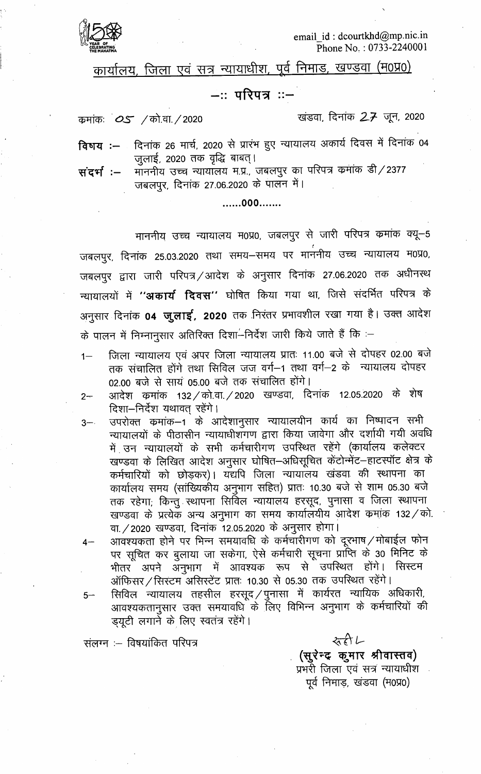

email id: dcourtkhd@mp.nic.in Phone No.: 0733-2240001

कार्यालय, जिला एवं सत्र न्यायाधीश, पूर्व निमाड, खण्डवा (म0प्र0)

#### —∷परिपत्र ::–

कुमांकः 05 / को.वा. / 2020

खंडवा, दिनांक 27 जून, 2020

दिनांक 26 मार्च, 2020 से प्रारंभ हुए न्यायालय अकार्य दिवस में दिनांक 04 विषय $: -$ जुलाई, 2020 तक वृद्धि बाबत्।

मॉननीय उच्च न्यायॉलय म.प्र., जबलपुर का परिपत्र कमांक डी/2377 संदर्भ :– जबलपुर, दिनांक 27.06.2020 के पालन में।

.......000.......

माननीय उच्च न्यायालय म0प्र0, जबलपुर से जारी परिपत्र कमांक क्यू-5 जबलपुर, दिनांक 25.03.2020 तथा समय-समय पर माननीय उच्च न्यायालय म0प्र0, जबलपुर द्वारा जारी परिपत्र / आदेश के अनुसार दिनांक 27.06.2020 तक अधीनस्थ न्यायालयों में **''अकार्य दिवस''** घोषित किया गया था, जिसे संदर्भित परिपत्र के अनुसार दिनांक **04 जुलाई, 2020** तक निरंतर प्रभावशील रखा गया है। उक्त आदेश के पालन में निम्नानुसार अतिरिक्त दिशा—ंनिर्देश जारी किये जाते हैं कि :-

- जिला न्यायालय एवं अपर जिला न्यायालय प्रातः 11.00 बजे से दोपहर 02.00 बजे  $1 -$ तक संचालित होंगे तथा सिविल जज वर्ग-1 तथा वर्ग-2 के न्यायालय दोपहर 02.00 बजे से सायं 05.00 बजे तक संचालित होंगे।
- आदेश कमांक 132 / को.वा. / 2020 खण्डवा, दिनांक 12.05.2020 के शेष  $2 -$ दिशा-निर्देश यथावत् रहेंगे।
- उपरोक्त कमांक–1 के आदेशानुसार न्यायालयीन कार्य का निष्पादन सभी  $3 - 1$ न्यायालयों के पीठासीन न्यायाधीशॅंगण द्वारा किया जावेगा और दर्शायी गयी अवधि में उन न्यायालयों के सभी कर्मचारीगण उपस्थित रहेंगे (कार्यालय कलेक्टर खण्डवा के लिखित आदेश अनुसार घोषित-अधिसूचित केंटोन्मेंट-हाटस्पॉट क्षेत्र के कर्मचारियों को छोड़कर)। यद्यपि जिला न्यायालय खंडवा की स्थापना का कार्यालय समय (सांख्यिकीय अनुभाग सहित) प्रातः 10.30 बजे से शाम 05.30 बजे तक रहेगा; किन्तु स्थापना सिर्विल न्यायालय हरसूद, पुनासा व जिला स्थापना खण्डवा के प्रत्येक अन्य अनुभाग का समय कार्यालयीय आदेश कमांक 132 / को. वा. / 2020) खण्डवा, दिनांक 12.05.2020 के अनुसार होगा |

आवश्यकता होने पर भिन्न समयावधि के कर्मचारीगण को दूरभाष ⁄ मोबाईल फोन  $4-$ पर सूचित कर बुलाया जा सकेगा, ऐसे कर्मचारी सूचना प्राप्ति के 30 मिनिट के भीतर अपने अनुभाग में आवश्यक रूप से उपस्थित होंगे। सिस्टम ऑफिसर / सिस्टम असिस्टेंट प्रातः 10.30 से 05.30 तक उपस्थित रहेंगे।

सिविल न्यायालय तहसील हरसूद /पुनासा में कार्यरत न्यायिक अधिकारी,  $5-$ आवश्यकतानुसार उक्त समयावधि के लिए विभिन्न अनुभाग के कर्मचारियों की ड़यूटी लगाने के लिए स्वतंत्र रहेंगे।

संलग्न :- विषयांकित परिपत्र

みれん (सुरेन्द कुमार श्रीवास्तव) प्रभरी जिला एवं सत्र न्यायाधीश पूर्व निमाड, खंडवा (म0प्र0)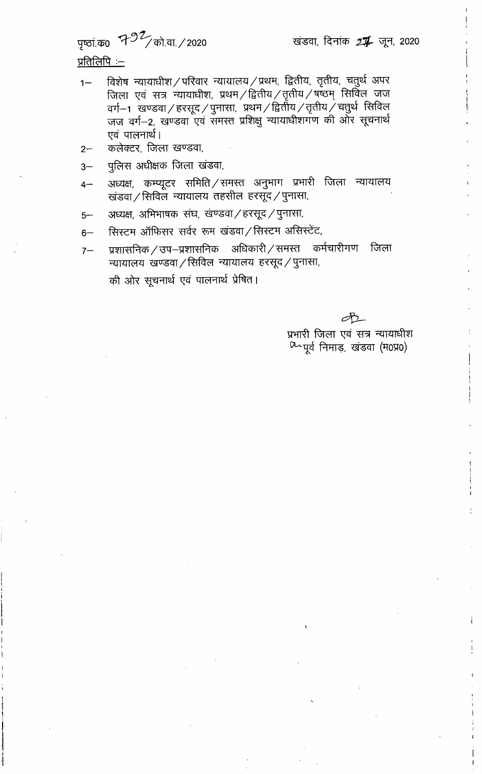# पृष्ठां.क0 7-92/को.वा. / 2020

# <u>प्रतिलिपिः –</u>

- विशेष न्यायाधीश/परिवार न्यायालय/प्रथम, द्वितीय, तृतीय, चतुर्थ अपर  $1 -$ जिला एवं सत्र न्यायाधीश, प्रथम /द्वितीय /तृतीय /षष्ठम् सिर्विल जज वर्ग- १ खण्डवा / हरसूद / पुनासा, प्रथम / द्वितीय / तृतीय / चतुर्थ सिविल<br>जज वर्ग- 2, खण्डवा एवं समस्त प्रशिक्षु न्यायाधीशगण की ओर सूचनार्थ एवं पालनार्थ।
- कलेक्टर, जिला खण्डवा,  $2 -$
- पुलिस अधीक्षक जिला खंडवा,  $3-$
- अध्यक्ष, कम्प्यूटर समिति / समस्त अनुभाग प्रभारी जिला न्यायालय  $4-$ खंडवा / सिविल न्यायालय तहसील हरसूद / पुनासा,
- अध्यक्ष, अभिभाषक संघ, खण्डवा / हरसूद / पुनासा,  $5-$
- सिस्टम ऑफिसर सर्वर रूम खंडवा / सिस्टम असिस्टेंट,  $6-$
- प्रशासनिक/उप-प्रशासनिक अधिकारी/समस्त कर्मचारीगण जिला  $7-$ न्यायालय खण्डवा / सिविल न्यायालय हरसूद / पुनासा, की ओर सूचनार्थ एवं पालनार्थ प्रेषित।

Æ

प्रभारी जिला एवं सत्र न्यायाधीश 02 पूर्व निमाड़, खंडवा (म0प्र0)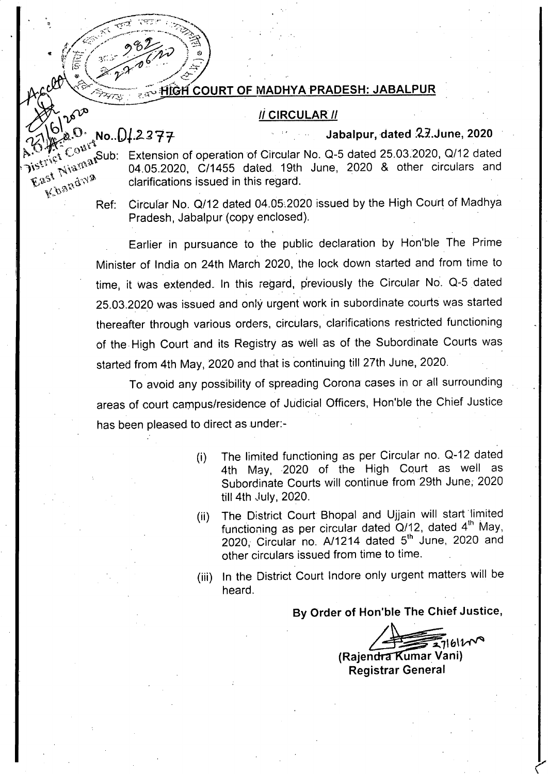#### iF1164 **COURT OF MADHYA PRADESH: JABALPUR**

#### **CIRCULAR //**

## **tNo..0.1.2.277. Jabalpur, dated .23.June, 2020**

a<sub>s</sub>Sub: Extension of operation of Circular No. Q-5 dated 25.03.2020, Q/12 dated 04.05.2020, C/1455 dated 19th June, 2020 & other circulars and  $\mathbb{E}^{aS^{\dagger}}$ ,  $\mathbb{E}^{aS^{\dagger}}$  clarifications issued in this regard. Gramuations issued in this regard.<br>Ref: Circular No. Q/12 dated 04.05.2020 issued by the High Court of Madhya

4;

ļē

Pradesh, Jabalpur (copy enclosed).

Earlier in pursuance to the public declaration by Hon'ble The Prime Minister of India on 24th March 2020, the lock down started and from time to time, it was extended. In this regard, previously the Circular No. Q-5 dated 25.03.2020 was issued and only urgent work in subordinate courts was started thereafter through various orders, circulars, clarifications restricted functioning of the High Court and its Registry as well as of the Subordinate Courts was started from 4th May, 2020 and that is continuing till 27th June, 2020.

To avoid any possibility of spreading Corona cases in or all surrounding areas of court campus/residence of Judicial Officers, Hon'ble the Chief Justice has been pleased to direct as under:-

- The limited functioning as per Circular no. Q-12 dated 4th May, 2020 of the High Court as well as Subordinate Courts will continue from 29th June, 2020 till 4th July, 2020. (i)
- (ii) The District Court Bhopal and Ujjain will start limited functioning as per circular dated  $\tilde{Q}$ /12, dated 4<sup>th</sup> May, 2020, Circular no. A/1214 dated 5<sup>th</sup> June, 2020 and other circulars issued from time to time.
- (iii) In the District Court Indore only urgent matters will be heard.

**By Order of Hon'ble The Chief Justice,** 

 $27161$ **(Rajendra Kumar Vani)** 

**Registrar General**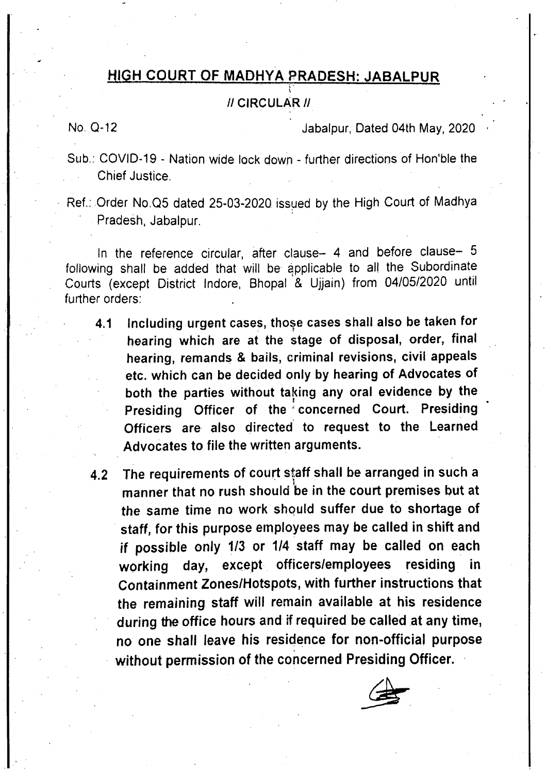#### **HIGH COURT OF MADHYA PRADESH: JABALPUR**

#### **// CIRCULAR** //

No. 0-12 Jabalpur, Dated 04th May, 2020

Sub.: COVID-19 - Nation wide lock down - further directions of Hon'ble the Chief Justice.

Ref.: Order No.Q5 dated 25-03-2020 issued by the High Court of Madhya Pradesh, Jabalpur.

In the reference circular, after clause— 4 and before clause— 5 following shall be added that will be applicable to all the Subordinate Courts (except District Indore, Bhopal & Ujjain) from 04/05/2020 until further orders:

- **4.1 Including urgent cases, tho**s**e cases shall also be taken for hearing which are at the stage of disposal, order, final hearing, remands & bails, criminal revisions, civil appeals etc. which can be decided only by hearing of Advocates of both the parties without taking any oral evidence by the**  Presiding Officer of the concerned Court. Presiding **Officers are also directed to request to the Learned Advocates to file the written arguments.**
- **4.2 The requirements of court staff shall be arranged in such a manner that no rush should be in the court premises but at the same time no work should suffer due to shortage of staff, for this purpose employees may be called in shift and if possible only 1/3 or 1/4 staff may be called on each working day, except officers/employees residing in Containment Zones/Hotspots, with further instructions that the remaining staff will remain available at his residence during the office hours and if required be called at any time, no one shall leave his residence for non-official purpose without permission of the concerned Presiding Officer.**

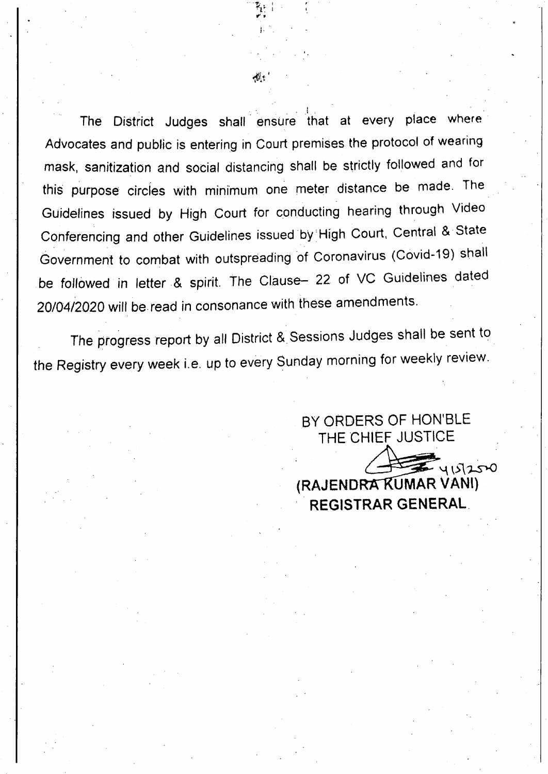The District Judges shall ensure that at every place where Advocates and public is entering in Court premises the protocol of wearing mask, sanitization and social distancing shall be strictly followed and for this purpose circles with minimum one meter distance be made. The Guidelines issued by High Court for conducting hearing through Video Conferencing and other Guidelines issued by 'High Court, Central & State Government to combat with outspreading of Coronavirus (Covid-19) shall be followed in letter & spirit. The Clause— 22 of VC Guidelines dated 20/04/2020 will be read in consonance with these amendments.

The progress report by all District & Sessions Judges shall be sent to the Registry every week i.e. up to every Sunday morning for weekly review.

> BY ORDERS OF HON'BLE THE CHIEF JUSTICE

**(RAJENDRA KUMAR VANI)** 

**REGISTRAR GENERAL** 

4151250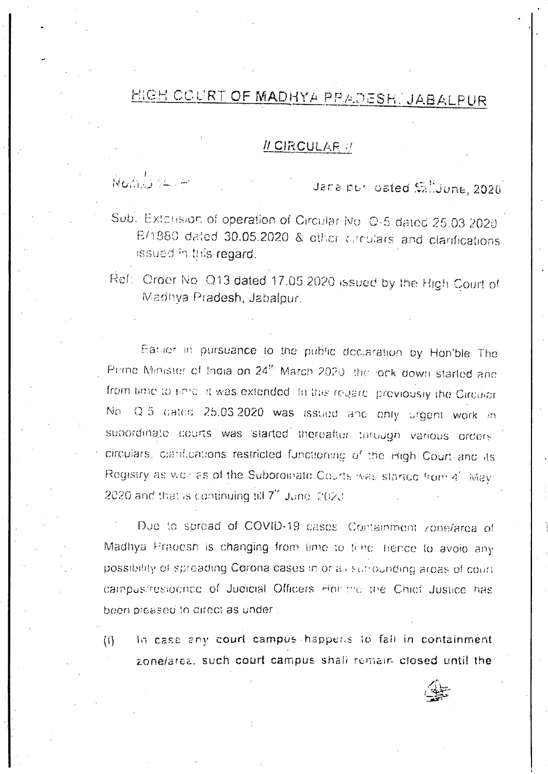# HIGH COURT OF MADHYA PRADESH: JABALPUR

#### II CIRCULAR //

Nombre -

Jane pur oated Sillyune, 2020

Sub. Extension of operation of Circular No. Q-5 dated 25.03.2020. B/1880 dated 30.05.2020 & other circulars and clarifications issued in this regard.

Ref: Order No. Q13 dated 17.05.2020 issued by the High Court of Madhya Pradesh, Jabalpur.

Eatilier in pursuance to the public declaration by Hon'ble The Prime Minister of India on 24<sup>th</sup> March 2020, the lock down started and from time to enter it was extended. In this regard, proviously the Circular No. Q-5 dated 25.03.2020 was issued and only urgent work in subordinate courts was started therealtor through various orders: circulars, clatifications restricted functioning of the High Court and its Registry as well as of the Subordinate Courts was started from 4' May 2020 and that is continuing till 7" June, 2020.

Due to spread of COVID-19 cases. Containment zone/area of Madhya Pradesh is changing from time to time, hence to avoid any bossibility of spreading Corona cases in or all sucrounding areas of court. campus/resigning of Judicial Officers Hondrig the Chief Justice has been pleased to direct as under:

In case any court campus happens to fall in containment  $(i)$ zone/area, such court campus shall remain closed until the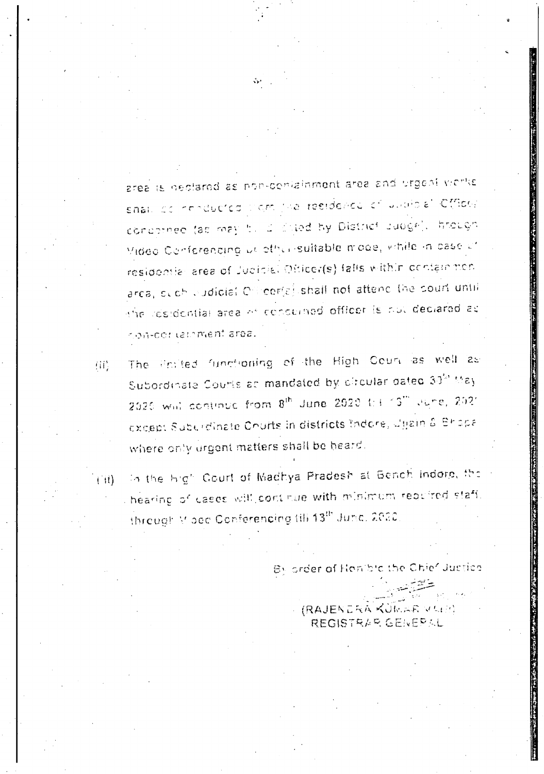area is neclared as pon-conialinment area and urgent works snal, de renducted lignifie residence et unaide' Cfflog. concerned (as may be a cited by District Judge). htough Mideo Conferencing us other suitable mode, while in case of residentle area of Judicial Officer(s) falls within containmenarca, even eudicial Officer(a) shall not attend the court until the residential area of conserned officer is not declared as con-cortemment area.

- The Profed functioning of the High Court as well as 角片 Subordinate Courts at mandated by elfoular dated 30th May 2020 will continue from 8th June 2020 to 1:13" June, 2021 except Suburdinate Churts in districts Indore, Uljain & Bhopa where only urgent matters shall be heard.
- In the high Gourt of Madhya Pradesh at Bench Indorp, the  $\left( \begin{array}{c} 1 \end{array} \right)$ hearing of cases will continue with minimum required staff. through Moed Conferencing till 13th June, 2020.

By order of Honible the Chief Justice

**RAJENDRA KUMAR VARIT** REGISTRAR GENERAL